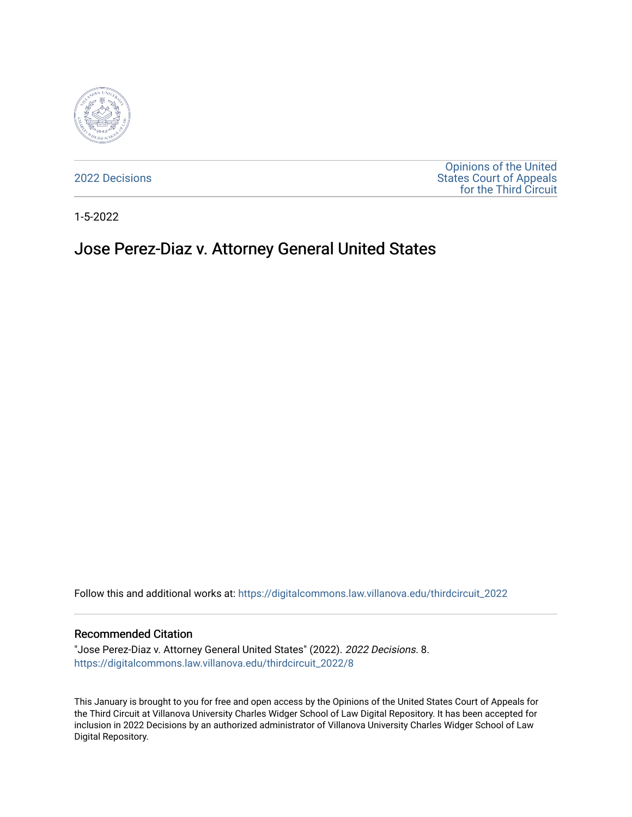

[2022 Decisions](https://digitalcommons.law.villanova.edu/thirdcircuit_2022)

[Opinions of the United](https://digitalcommons.law.villanova.edu/thirdcircuit)  [States Court of Appeals](https://digitalcommons.law.villanova.edu/thirdcircuit)  [for the Third Circuit](https://digitalcommons.law.villanova.edu/thirdcircuit) 

1-5-2022

# Jose Perez-Diaz v. Attorney General United States

Follow this and additional works at: [https://digitalcommons.law.villanova.edu/thirdcircuit\\_2022](https://digitalcommons.law.villanova.edu/thirdcircuit_2022?utm_source=digitalcommons.law.villanova.edu%2Fthirdcircuit_2022%2F8&utm_medium=PDF&utm_campaign=PDFCoverPages) 

#### Recommended Citation

"Jose Perez-Diaz v. Attorney General United States" (2022). 2022 Decisions. 8. [https://digitalcommons.law.villanova.edu/thirdcircuit\\_2022/8](https://digitalcommons.law.villanova.edu/thirdcircuit_2022/8?utm_source=digitalcommons.law.villanova.edu%2Fthirdcircuit_2022%2F8&utm_medium=PDF&utm_campaign=PDFCoverPages) 

This January is brought to you for free and open access by the Opinions of the United States Court of Appeals for the Third Circuit at Villanova University Charles Widger School of Law Digital Repository. It has been accepted for inclusion in 2022 Decisions by an authorized administrator of Villanova University Charles Widger School of Law Digital Repository.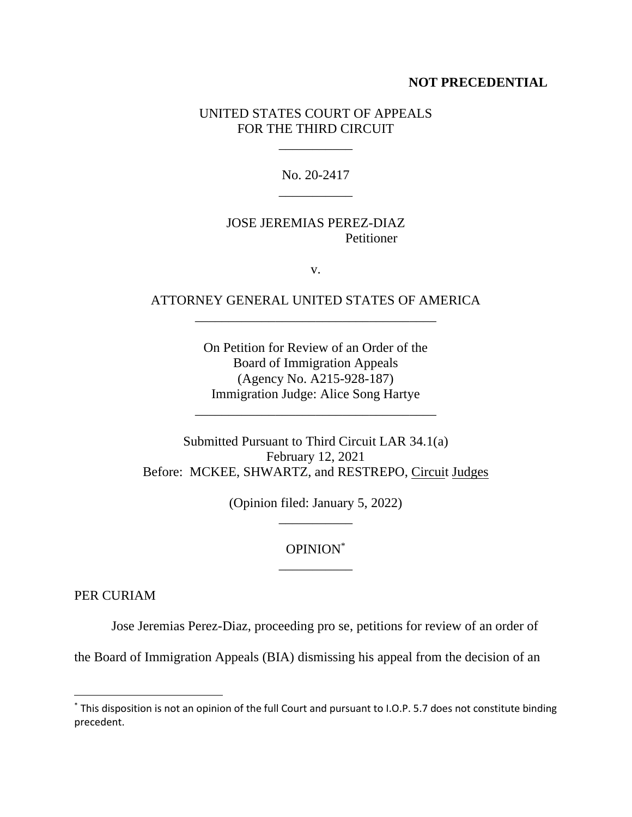#### **NOT PRECEDENTIAL**

### UNITED STATES COURT OF APPEALS FOR THE THIRD CIRCUIT

\_\_\_\_\_\_\_\_\_\_\_

No. 20-2417 \_\_\_\_\_\_\_\_\_\_\_

### JOSE JEREMIAS PEREZ-DIAZ Petitioner

v.

## ATTORNEY GENERAL UNITED STATES OF AMERICA \_\_\_\_\_\_\_\_\_\_\_\_\_\_\_\_\_\_\_\_\_\_\_\_\_\_\_\_\_\_\_\_\_\_\_\_

On Petition for Review of an Order of the Board of Immigration Appeals (Agency No. A215-928-187) Immigration Judge: Alice Song Hartye

\_\_\_\_\_\_\_\_\_\_\_\_\_\_\_\_\_\_\_\_\_\_\_\_\_\_\_\_\_\_\_\_\_\_\_\_

Submitted Pursuant to Third Circuit LAR 34.1(a) February 12, 2021 Before: MCKEE, SHWARTZ, and RESTREPO, Circuit Judges

> (Opinion filed: January 5, 2022) \_\_\_\_\_\_\_\_\_\_\_

### OPINION\* \_\_\_\_\_\_\_\_\_\_\_

PER CURIAM

Jose Jeremias Perez-Diaz, proceeding pro se, petitions for review of an order of

the Board of Immigration Appeals (BIA) dismissing his appeal from the decision of an

<sup>\*</sup> This disposition is not an opinion of the full Court and pursuant to I.O.P. 5.7 does not constitute binding precedent.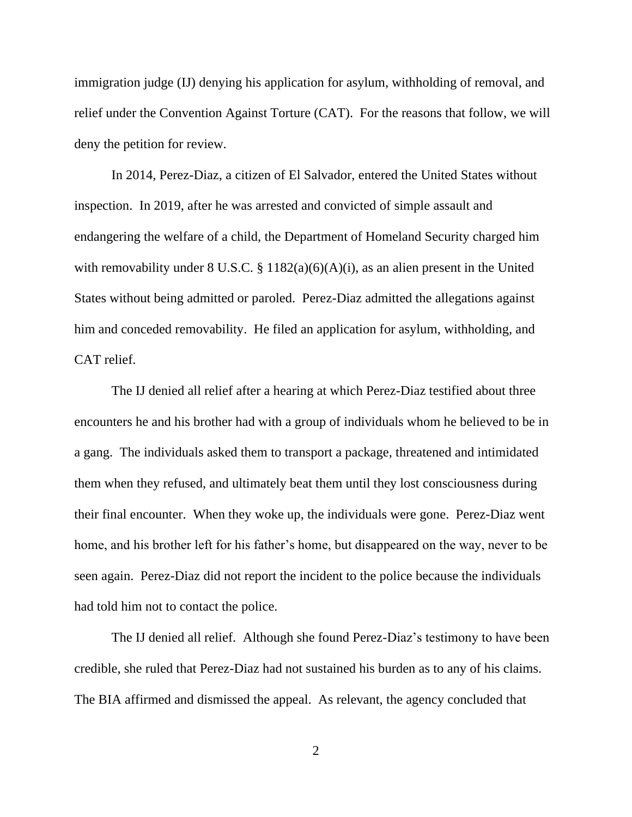immigration judge (IJ) denying his application for asylum, withholding of removal, and relief under the Convention Against Torture (CAT). For the reasons that follow, we will deny the petition for review.

In 2014, Perez-Diaz, a citizen of El Salvador, entered the United States without inspection. In 2019, after he was arrested and convicted of simple assault and endangering the welfare of a child, the Department of Homeland Security charged him with removability under  $8 \text{ U.S.C. } \frac{8}{9} \frac{1182(a)(6)(A)(i)}{2}$ , as an alien present in the United States without being admitted or paroled. Perez-Diaz admitted the allegations against him and conceded removability. He filed an application for asylum, withholding, and CAT relief.

The IJ denied all relief after a hearing at which Perez-Diaz testified about three encounters he and his brother had with a group of individuals whom he believed to be in a gang. The individuals asked them to transport a package, threatened and intimidated them when they refused, and ultimately beat them until they lost consciousness during their final encounter. When they woke up, the individuals were gone. Perez-Diaz went home, and his brother left for his father's home, but disappeared on the way, never to be seen again. Perez-Diaz did not report the incident to the police because the individuals had told him not to contact the police.

The IJ denied all relief. Although she found Perez-Diaz's testimony to have been credible, she ruled that Perez-Diaz had not sustained his burden as to any of his claims. The BIA affirmed and dismissed the appeal. As relevant, the agency concluded that

2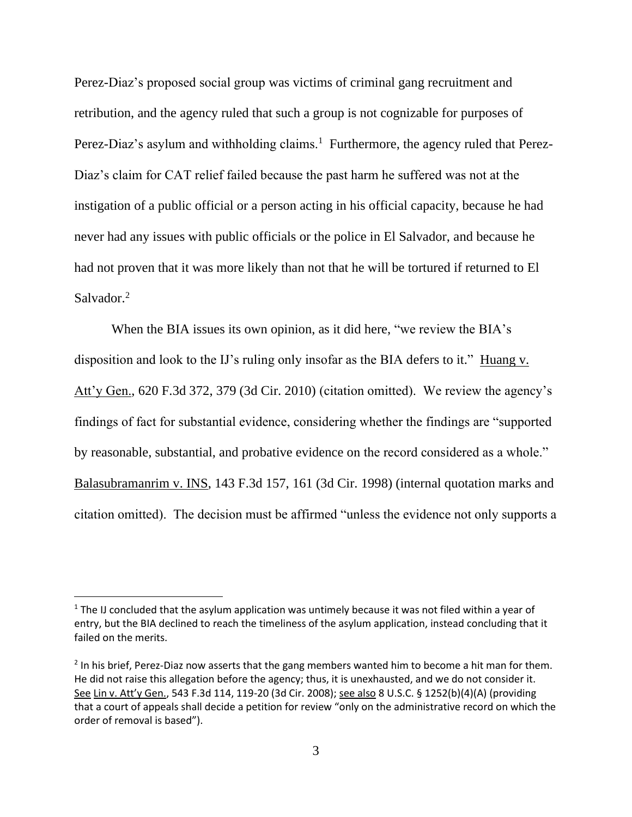Perez-Diaz's proposed social group was victims of criminal gang recruitment and retribution, and the agency ruled that such a group is not cognizable for purposes of Perez-Diaz's asylum and withholding claims.<sup>1</sup> Furthermore, the agency ruled that Perez-Diaz's claim for CAT relief failed because the past harm he suffered was not at the instigation of a public official or a person acting in his official capacity, because he had never had any issues with public officials or the police in El Salvador, and because he had not proven that it was more likely than not that he will be tortured if returned to El Salvador.<sup>2</sup>

When the BIA issues its own opinion, as it did here, "we review the BIA's disposition and look to the IJ's ruling only insofar as the BIA defers to it." Huang v. Att'y Gen., 620 F.3d 372, 379 (3d Cir. 2010) (citation omitted). We review the agency's findings of fact for substantial evidence, considering whether the findings are "supported by reasonable, substantial, and probative evidence on the record considered as a whole." Balasubramanrim v. INS, 143 F.3d 157, 161 (3d Cir. 1998) (internal quotation marks and citation omitted). The decision must be affirmed "unless the evidence not only supports a

 $<sup>1</sup>$  The IJ concluded that the asylum application was untimely because it was not filed within a year of</sup> entry, but the BIA declined to reach the timeliness of the asylum application, instead concluding that it failed on the merits.

 $2$  In his brief, Perez-Diaz now asserts that the gang members wanted him to become a hit man for them. He did not raise this allegation before the agency; thus, it is unexhausted, and we do not consider it. See Lin v. Att'y Gen., 543 F.3d 114, 119-20 (3d Cir. 2008); see also 8 U.S.C. § 1252(b)(4)(A) (providing that a court of appeals shall decide a petition for review "only on the administrative record on which the order of removal is based").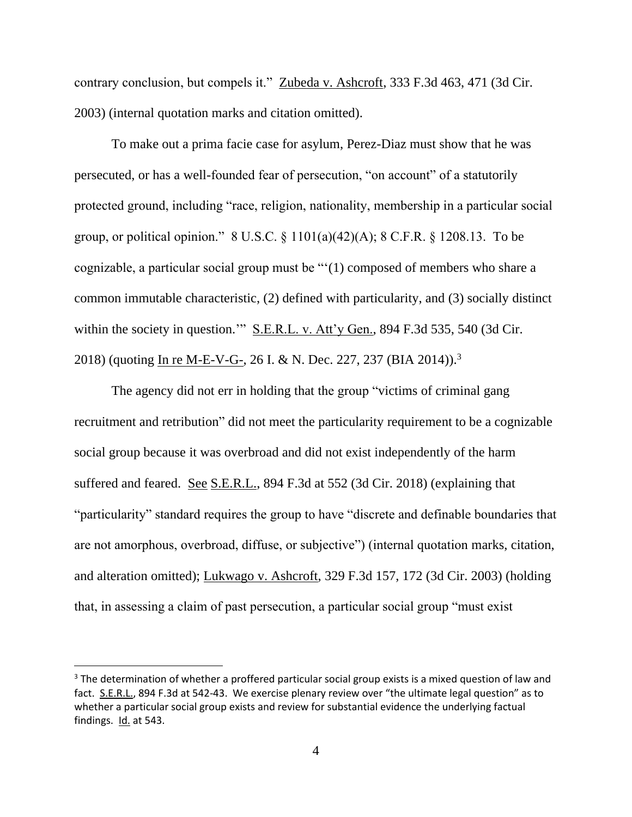contrary conclusion, but compels it." Zubeda v. Ashcroft, 333 F.3d 463, 471 (3d Cir. 2003) (internal quotation marks and citation omitted).

To make out a prima facie case for asylum, Perez-Diaz must show that he was persecuted, or has a well-founded fear of persecution, "on account" of a statutorily protected ground, including "race, religion, nationality, membership in a particular social group, or political opinion." 8 U.S.C. § 1101(a)(42)(A); 8 C.F.R. § 1208.13. To be cognizable, a particular social group must be "'(1) composed of members who share a common immutable characteristic, (2) defined with particularity, and (3) socially distinct within the society in question.'" S.E.R.L. v. Att'y Gen., 894 F.3d 535, 540 (3d Cir. 2018) (quoting In re M-E-V-G-, 26 I. & N. Dec. 227, 237 (BIA 2014)).<sup>3</sup>

The agency did not err in holding that the group "victims of criminal gang recruitment and retribution" did not meet the particularity requirement to be a cognizable social group because it was overbroad and did not exist independently of the harm suffered and feared. See S.E.R.L., 894 F.3d at 552 (3d Cir. 2018) (explaining that "particularity" standard requires the group to have "discrete and definable boundaries that are not amorphous, overbroad, diffuse, or subjective") (internal quotation marks, citation, and alteration omitted); Lukwago v. Ashcroft, 329 F.3d 157, 172 (3d Cir. 2003) (holding that, in assessing a claim of past persecution, a particular social group "must exist

<sup>&</sup>lt;sup>3</sup> The determination of whether a proffered particular social group exists is a mixed question of law and fact. S.E.R.L., 894 F.3d at 542-43. We exercise plenary review over "the ultimate legal question" as to whether a particular social group exists and review for substantial evidence the underlying factual findings. Id. at 543.